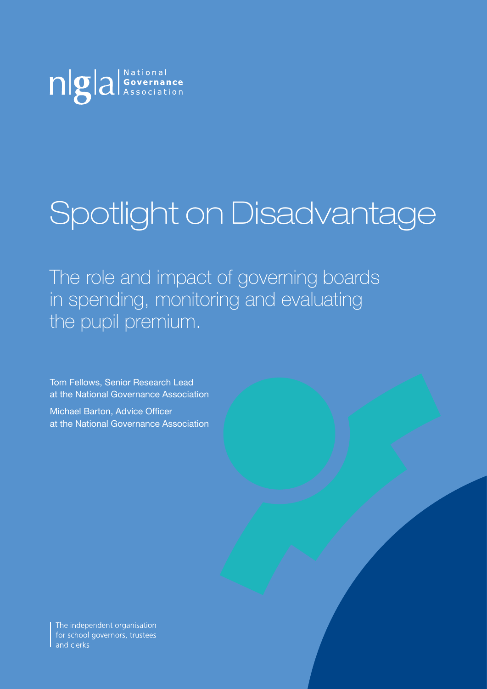

# Spotlight on Disadvantage

The role and impact of governing boards in spending, monitoring and evaluating the pupil premium.

Tom Fellows, Senior Research Lead at the National Governance Association

Michael Barton, Advice Officer at the National Governance Association

The independent organisation for school governors, trustees and clerks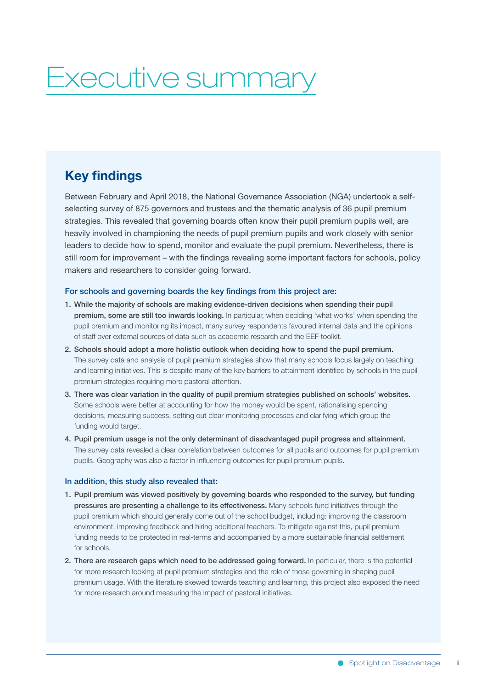## Executive summary

## **Key findings**

Between February and April 2018, the National Governance Association (NGA) undertook a selfselecting survey of 875 governors and trustees and the thematic analysis of 36 pupil premium strategies. This revealed that governing boards often know their pupil premium pupils well, are heavily involved in championing the needs of pupil premium pupils and work closely with senior leaders to decide how to spend, monitor and evaluate the pupil premium. Nevertheless, there is still room for improvement – with the findings revealing some important factors for schools, policy makers and researchers to consider going forward.

#### For schools and governing boards the key findings from this project are:

- 1. While the majority of schools are making evidence-driven decisions when spending their pupil premium, some are still too inwards looking. In particular, when deciding 'what works' when spending the pupil premium and monitoring its impact, many survey respondents favoured internal data and the opinions of staff over external sources of data such as academic research and the EEF toolkit.
- 2. Schools should adopt a more holistic outlook when deciding how to spend the pupil premium. The survey data and analysis of pupil premium strategies show that many schools focus largely on teaching and learning initiatives. This is despite many of the key barriers to attainment identified by schools in the pupil premium strategies requiring more pastoral attention.
- 3. There was clear variation in the quality of pupil premium strategies published on schools' websites. Some schools were better at accounting for how the money would be spent, rationalising spending decisions, measuring success, setting out clear monitoring processes and clarifying which group the funding would target.
- 4. Pupil premium usage is not the only determinant of disadvantaged pupil progress and attainment. The survey data revealed a clear correlation between outcomes for all pupils and outcomes for pupil premium pupils. Geography was also a factor in influencing outcomes for pupil premium pupils.

#### In addition, this study also revealed that:

- 1. Pupil premium was viewed positively by governing boards who responded to the survey, but funding pressures are presenting a challenge to its effectiveness. Many schools fund initiatives through the pupil premium which should generally come out of the school budget, including: improving the classroom environment, improving feedback and hiring additional teachers. To mitigate against this, pupil premium funding needs to be protected in real-terms and accompanied by a more sustainable financial settlement for schools.
- 2. There are research gaps which need to be addressed going forward. In particular, there is the potential for more research looking at pupil premium strategies and the role of those governing in shaping pupil premium usage. With the literature skewed towards teaching and learning, this project also exposed the need for more research around measuring the impact of pastoral initiatives.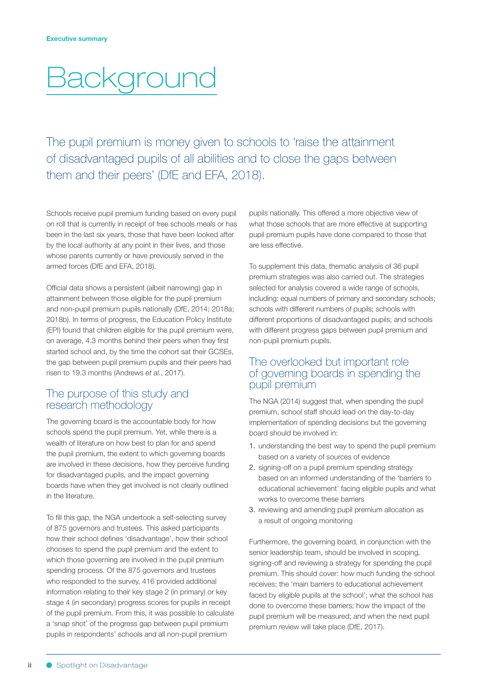## **Background**

The pupil premium is money given to schools to 'raise the attainment of disadvantaged pupils of all abilities and to close the gaps between them and their peers' (DfE and EFA, 2018).

Schools receive pupil premium funding based on every pupil on roll that is currently in receipt of free schools meals or has been in the last six years, those that have been looked after by the local authority at any point in their lives, and those whose parents currently or have previously served in the armed forces (DfE and EFA, 2018).

Official data shows a persistent (albeit narrowing) gap in attainment between those eligible for the pupil premium and non-pupil premium pupils nationally (DfE, 2014; 2018a; 2018b). In terms of progress, the Education Policy Institute (EPI) found that children eligible for the pupil premium were, on average, 4.3 months behind their peers when they first started school and, by the time the cohort sat their GCSEs, the gap between pupil premium pupils and their peers had risen to 19.3 months (Andrews *et al.*, 2017).

## The purpose of this study and research methodology

The governing board is the accountable body for how schools spend the pupil premium. Yet, while there is a wealth of literature on how best to plan for and spend the pupil premium, the extent to which governing boards are involved in these decisions, how they perceive funding for disadvantaged pupils, and the impact governing boards have when they get involved is not clearly outlined in the literature.

To fill this gap, the NGA undertook a self-selecting survey of 875 governors and trustees. This asked participants how their school defines 'disadvantage', how their school chooses to spend the pupil premium and the extent to which those governing are involved in the pupil premium spending process. Of the 875 governors and trustees who responded to the survey, 416 provided additional information relating to their key stage 2 (in primary) or key stage 4 (in secondary) progress scores for pupils in receipt of the pupil premium. From this, it was possible to calculate a 'snap shot' of the progress gap between pupil premium pupils in respondents' schools and all non-pupil premium

pupils nationally. This offered a more objective view of what those schools that are more effective at supporting pupil premium pupils have done compared to those that are less effective.

To supplement this data, thematic analysis of 36 pupil premium strategies was also carried out. The strategies selected for analysis covered a wide range of schools, including: equal numbers of primary and secondary schools; schools with different numbers of pupils; schools with different proportions of disadvantaged pupils; and schools with different progress gaps between pupil premium and non-pupil premium pupils.

## The overlooked but important role of governing boards in spending the pupil premium

The NGA (2014) suggest that, when spending the pupil premium, school staff should lead on the day-to-day implementation of spending decisions but the governing board should be involved in:

- 1. understanding the best way to spend the pupil premium based on a variety of sources of evidence
- 2. signing-off on a pupil premium spending strategy based on an informed understanding of the 'barriers to educational achievement' facing eligible pupils and what works to overcome these barriers
- 3. reviewing and amending pupil premium allocation as a result of ongoing monitoring

Furthermore, the governing board, in conjunction with the senior leadership team, should be involved in scoping, signing-off and reviewing a strategy for spending the pupil premium. This should cover: how much funding the school receives; the 'main barriers to educational achievement faced by eligible pupils at the school'; what the school has done to overcome these barriers; how the impact of the pupil premium will be measured; and when the next pupil premium review will take place (DfE, 2017).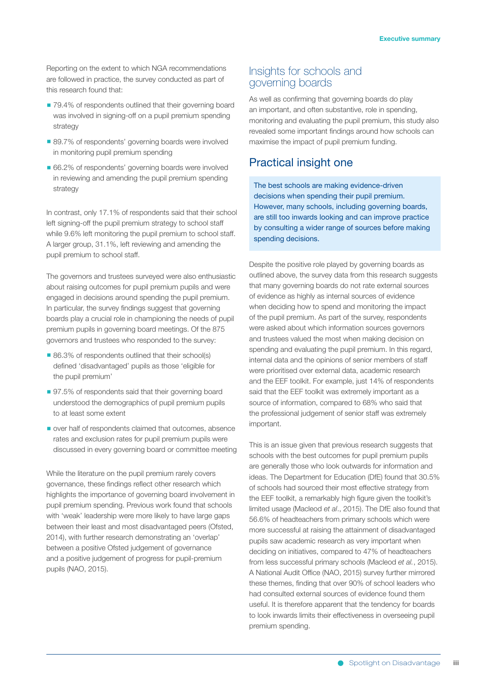Reporting on the extent to which NGA recommendations are followed in practice, the survey conducted as part of this research found that:

- 79.4% of respondents outlined that their governing board was involved in signing-off on a pupil premium spending strategy
- 89.7% of respondents' governing boards were involved in monitoring pupil premium spending
- 66.2% of respondents' governing boards were involved in reviewing and amending the pupil premium spending strategy

In contrast, only 17.1% of respondents said that their school left signing-off the pupil premium strategy to school staff while 9.6% left monitoring the pupil premium to school staff. A larger group, 31.1%, left reviewing and amending the pupil premium to school staff.

The governors and trustees surveyed were also enthusiastic about raising outcomes for pupil premium pupils and were engaged in decisions around spending the pupil premium. In particular, the survey findings suggest that governing boards play a crucial role in championing the needs of pupil premium pupils in governing board meetings. Of the 875 governors and trustees who responded to the survey:

- 86.3% of respondents outlined that their school(s) defined 'disadvantaged' pupils as those 'eligible for the pupil premium'
- 97.5% of respondents said that their governing board understood the demographics of pupil premium pupils to at least some extent
- over half of respondents claimed that outcomes, absence rates and exclusion rates for pupil premium pupils were discussed in every governing board or committee meeting

While the literature on the pupil premium rarely covers governance, these findings reflect other research which highlights the importance of governing board involvement in pupil premium spending. Previous work found that schools with 'weak' leadership were more likely to have large gaps between their least and most disadvantaged peers (Ofsted, 2014), with further research demonstrating an 'overlap' between a positive Ofsted judgement of governance and a positive judgement of progress for pupil-premium pupils (NAO, 2015).

### Insights for schools and governing boards

As well as confirming that governing boards do play an important, and often substantive, role in spending, monitoring and evaluating the pupil premium, this study also revealed some important findings around how schools can maximise the impact of pupil premium funding.

### Practical insight one

The best schools are making evidence-driven decisions when spending their pupil premium. However, many schools, including governing boards, are still too inwards looking and can improve practice by consulting a wider range of sources before making spending decisions.

Despite the positive role played by governing boards as outlined above, the survey data from this research suggests that many governing boards do not rate external sources of evidence as highly as internal sources of evidence when deciding how to spend and monitoring the impact of the pupil premium. As part of the survey, respondents were asked about which information sources governors and trustees valued the most when making decision on spending and evaluating the pupil premium. In this regard, internal data and the opinions of senior members of staff were prioritised over external data, academic research and the EEF toolkit. For example, just 14% of respondents said that the EEF toolkit was extremely important as a source of information, compared to 68% who said that the professional judgement of senior staff was extremely important.

This is an issue given that previous research suggests that schools with the best outcomes for pupil premium pupils are generally those who look outwards for information and ideas. The Department for Education (DfE) found that 30.5% of schools had sourced their most effective strategy from the EEF toolkit, a remarkably high figure given the toolkit's limited usage (Macleod *et al*., 2015). The DfE also found that 56.6% of headteachers from primary schools which were more successful at raising the attainment of disadvantaged pupils saw academic research as very important when deciding on initiatives, compared to 47% of headteachers from less successful primary schools (Macleod *et al.*, 2015). A National Audit Office (NAO, 2015) survey further mirrored these themes, finding that over 90% of school leaders who had consulted external sources of evidence found them useful. It is therefore apparent that the tendency for boards to look inwards limits their effectiveness in overseeing pupil premium spending.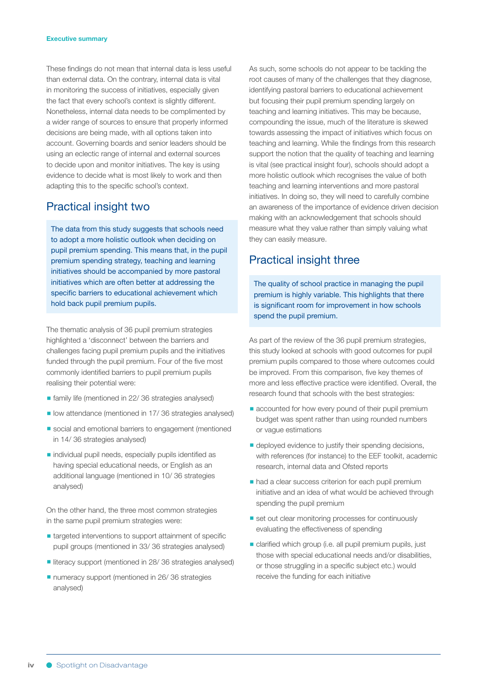#### **Executive summary**

These findings do not mean that internal data is less useful than external data. On the contrary, internal data is vital in monitoring the success of initiatives, especially given the fact that every school's context is slightly different. Nonetheless, internal data needs to be complimented by a wider range of sources to ensure that properly informed decisions are being made, with all options taken into account. Governing boards and senior leaders should be using an eclectic range of internal and external sources to decide upon and monitor initiatives. The key is using evidence to decide what is most likely to work and then adapting this to the specific school's context.

## Practical insight two

The data from this study suggests that schools need to adopt a more holistic outlook when deciding on pupil premium spending. This means that, in the pupil premium spending strategy, teaching and learning initiatives should be accompanied by more pastoral initiatives which are often better at addressing the specific barriers to educational achievement which hold back pupil premium pupils.

The thematic analysis of 36 pupil premium strategies highlighted a 'disconnect' between the barriers and challenges facing pupil premium pupils and the initiatives funded through the pupil premium. Four of the five most commonly identified barriers to pupil premium pupils realising their potential were:

- family life (mentioned in 22/ 36 strategies analysed)
- low attendance (mentioned in 17/36 strategies analysed)
- social and emotional barriers to engagement (mentioned in 14/ 36 strategies analysed)
- individual pupil needs, especially pupils identified as having special educational needs, or English as an additional language (mentioned in 10/ 36 strategies analysed)

On the other hand, the three most common strategies in the same pupil premium strategies were:

- targeted interventions to support attainment of specific pupil groups (mentioned in 33/ 36 strategies analysed)
- literacy support (mentioned in 28/ 36 strategies analysed)
- numeracy support (mentioned in 26/ 36 strategies analysed)

As such, some schools do not appear to be tackling the root causes of many of the challenges that they diagnose, identifying pastoral barriers to educational achievement but focusing their pupil premium spending largely on teaching and learning initiatives. This may be because, compounding the issue, much of the literature is skewed towards assessing the impact of initiatives which focus on teaching and learning. While the findings from this research support the notion that the quality of teaching and learning is vital (see practical insight four), schools should adopt a more holistic outlook which recognises the value of both teaching and learning interventions and more pastoral initiatives. In doing so, they will need to carefully combine an awareness of the importance of evidence driven decision making with an acknowledgement that schools should measure what they value rather than simply valuing what they can easily measure.

## Practical insight three

The quality of school practice in managing the pupil premium is highly variable. This highlights that there is significant room for improvement in how schools spend the pupil premium.

As part of the review of the 36 pupil premium strategies, this study looked at schools with good outcomes for pupil premium pupils compared to those where outcomes could be improved. From this comparison, five key themes of more and less effective practice were identified. Overall, the research found that schools with the best strategies:

- accounted for how every pound of their pupil premium budget was spent rather than using rounded numbers or vague estimations
- deployed evidence to justify their spending decisions, with references (for instance) to the EEF toolkit, academic research, internal data and Ofsted reports
- had a clear success criterion for each pupil premium initiative and an idea of what would be achieved through spending the pupil premium
- set out clear monitoring processes for continuously evaluating the effectiveness of spending
- clarified which group (i.e. all pupil premium pupils, just those with special educational needs and/or disabilities, or those struggling in a specific subject etc.) would receive the funding for each initiative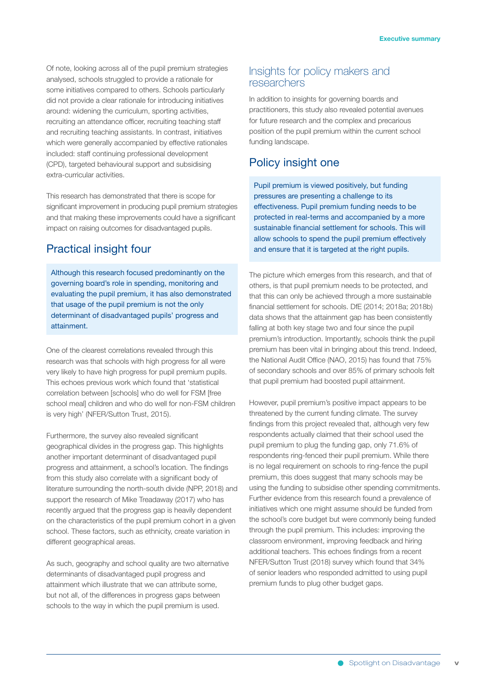Of note, looking across all of the pupil premium strategies analysed, schools struggled to provide a rationale for some initiatives compared to others. Schools particularly did not provide a clear rationale for introducing initiatives around: widening the curriculum, sporting activities, recruiting an attendance officer, recruiting teaching staff and recruiting teaching assistants. In contrast, initiatives which were generally accompanied by effective rationales included: staff continuing professional development (CPD), targeted behavioural support and subsidising extra-curricular activities.

This research has demonstrated that there is scope for significant improvement in producing pupil premium strategies and that making these improvements could have a significant impact on raising outcomes for disadvantaged pupils.

## Practical insight four

Although this research focused predominantly on the governing board's role in spending, monitoring and evaluating the pupil premium, it has also demonstrated that usage of the pupil premium is not the only determinant of disadvantaged pupils' progress and attainment.

One of the clearest correlations revealed through this research was that schools with high progress for all were very likely to have high progress for pupil premium pupils. This echoes previous work which found that 'statistical correlation between [schools] who do well for FSM [free school meall children and who do well for non-FSM children is very high' (NFER/Sutton Trust, 2015).

Furthermore, the survey also revealed significant geographical divides in the progress gap. This highlights another important determinant of disadvantaged pupil progress and attainment, a school's location. The findings from this study also correlate with a significant body of literature surrounding the north-south divide (NPP, 2018) and support the research of Mike Treadaway (2017) who has recently argued that the progress gap is heavily dependent on the characteristics of the pupil premium cohort in a given school. These factors, such as ethnicity, create variation in different geographical areas.

As such, geography and school quality are two alternative determinants of disadvantaged pupil progress and attainment which illustrate that we can attribute some, but not all, of the differences in progress gaps between schools to the way in which the pupil premium is used.

### Insights for policy makers and researchers

In addition to insights for governing boards and practitioners, this study also revealed potential avenues for future research and the complex and precarious position of the pupil premium within the current school funding landscape.

## Policy insight one

Pupil premium is viewed positively, but funding pressures are presenting a challenge to its effectiveness. Pupil premium funding needs to be protected in real-terms and accompanied by a more sustainable financial settlement for schools. This will allow schools to spend the pupil premium effectively and ensure that it is targeted at the right pupils.

The picture which emerges from this research, and that of others, is that pupil premium needs to be protected, and that this can only be achieved through a more sustainable financial settlement for schools. DfE (2014; 2018a; 2018b) data shows that the attainment gap has been consistently falling at both key stage two and four since the pupil premium's introduction. Importantly, schools think the pupil premium has been vital in bringing about this trend. Indeed, the National Audit Office (NAO, 2015) has found that 75% of secondary schools and over 85% of primary schools felt that pupil premium had boosted pupil attainment.

However, pupil premium's positive impact appears to be threatened by the current funding climate. The survey findings from this project revealed that, although very few respondents actually claimed that their school used the pupil premium to plug the funding gap, only 71.6% of respondents ring-fenced their pupil premium. While there is no legal requirement on schools to ring-fence the pupil premium, this does suggest that many schools may be using the funding to subsidise other spending commitments. Further evidence from this research found a prevalence of initiatives which one might assume should be funded from the school's core budget but were commonly being funded through the pupil premium. This includes: improving the classroom environment, improving feedback and hiring additional teachers. This echoes findings from a recent NFER/Sutton Trust (2018) survey which found that 34% of senior leaders who responded admitted to using pupil premium funds to plug other budget gaps.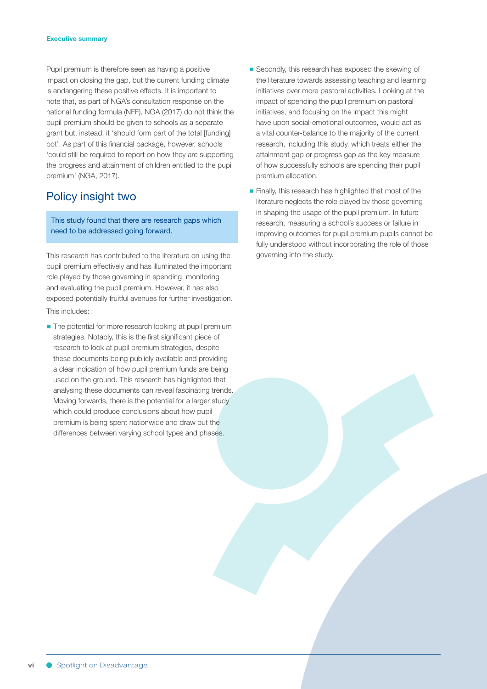#### **Executive summary**

Pupil premium is therefore seen as having a positive impact on closing the gap, but the current funding climate is endangering these positive effects. It is important to note that, as part of NGA's consultation response on the national funding formula (NFF), NGA (2017) do not think the pupil premium should be given to schools as a separate grant but, instead, it 'should form part of the total [funding] pot'. As part of this financial package, however, schools 'could still be required to report on how they are supporting the progress and attainment of children entitled to the pupil premium' (NGA, 2017).

## Policy insight two

This study found that there are research gaps which need to be addressed going forward.

This research has contributed to the literature on using the pupil premium effectively and has illuminated the important role played by those governing in spending, monitoring and evaluating the pupil premium. However, it has also exposed potentially fruitful avenues for further investigation. This includes:

■ The potential for more research looking at pupil premium strategies. Notably, this is the first significant piece of research to look at pupil premium strategies, despite these documents being publicly available and providing a clear indication of how pupil premium funds are being used on the ground. This research has highlighted that analysing these documents can reveal fascinating trends. Moving forwards, there is the potential for a larger study which could produce conclusions about how pupil premium is being spent nationwide and draw out the differences between varying school types and phases.

- Secondly, this research has exposed the skewing of the literature towards assessing teaching and learning initiatives over more pastoral activities. Looking at the impact of spending the pupil premium on pastoral initiatives, and focusing on the impact this might have upon social-emotional outcomes, would act as a vital counter-balance to the majority of the current research, including this study, which treats either the attainment gap or progress gap as the key measure of how successfully schools are spending their pupil premium allocation.
- Finally, this research has highlighted that most of the literature neglects the role played by those governing in shaping the usage of the pupil premium. In future research, measuring a school's success or failure in improving outcomes for pupil premium pupils cannot be fully understood without incorporating the role of those governing into the study.